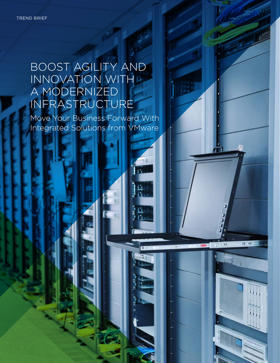# BOOST AGILITY AND INNOVATION WITH A MODERNIZED INFRASTRUCTURE

Move Your Business Forward With Integrated Solutions from VMware

15.

Ŀ٠ Κ.

 $\overline{0}$   $\overline{0}$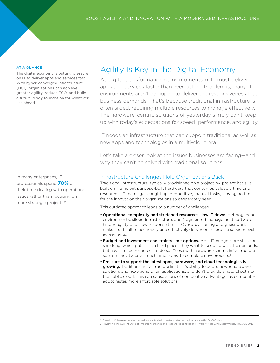#### AT A GLANCE

The digital economy is putting pressure on IT to deliver apps and services fast. With hyper-converged infrastructure (HCI), organizations can achieve greater agility, reduce TCO, and build a future-ready foundation for whatever lies ahead.

In many enterprises, IT professionals spend **70%** of their time dealing with operations issues rather than focusing on more strategic projects.2

## Agility Is Key in the Digital Economy

As digital transformation gains momentum, IT must deliver apps and services faster than ever before. Problem is, many IT environments aren't equipped to deliver the responsiveness that business demands. That's because traditional infrastructure is often siloed, requiring multiple resources to manage effectively. The hardware-centric solutions of yesterday simply can't keep up with today's expectations for speed, performance, and agility.

IT needs an infrastructure that can support traditional as well as new apps and technologies in a multi-cloud era.

Let's take a closer look at the issues businesses are facing—and why they can't be solved with traditional solutions.

#### Infrastructure Challenges Hold Organizations Back

Traditional infrastructure, typically provisioned on a project-by-project basis, is built on inefficient purpose-built hardware that consumes valuable time and resources. IT teams get caught up in repetitive, manual tasks, leaving no time for the innovation their organizations so desperately need.

This outdated approach leads to a number of challenges:

- Operational complexity and stretched resources slow IT down. Heterogeneous environments, siloed infrastructure, and fragmented management software hinder agility and slow response times. Overprovisioning and guesswork make it difficult to accurately and effectively deliver on enterprise service-level agreements.
- Budget and investment constraints limit options. Most IT budgets are static or shrinking, which puts IT in a hard place. They want to keep up with the demands, but have limited resources to do so. Those with hardware-centric infrastructure spend nearly twice as much time trying to complete new projects.<sup>1</sup>
- Pressure to support the latest apps, hardware, and cloud technologies is growing. Traditional infrastructure limits IT's ability to adopt newer hardware solutions and next-generation applications, and don't provide a natural path to the public cloud. This can cause a loss of competitive advantage, as competitors adopt faster, more affordable solutions.

<sup>1</sup> Based on VMware estimates derived from actual mid-market customer deployments with 100–300 VMs

<sup>2</sup> Reviewing the Current State of Hyperconvergence and Real World Benefits of VMware Virtual SAN Deployments, IDC, July 2016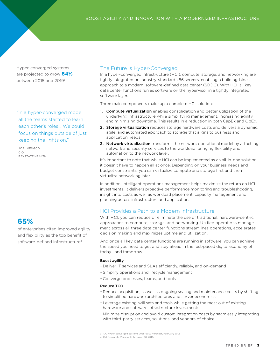Hyper-converged systems are projected to grow **64%** between 2015 and 20193.

*"*In a hyper-converged model, all the teams started to learn each other's roles… We could focus on things outside of just keeping the lights on."

JOEL VENGCO CIO BAYSTATE HEALTH

### **65%**

of enterprises cited improved agility and flexibility as the top benefit of software-defined infrastructure<sup>4</sup>.

#### The Future Is Hyper-Converged

In a hyper-converged infrastructure (HCI), compute, storage, and networking are tightly integrated on industry-standard x86 servers, enabling a building-block approach to a modern, software-defined data center (SDDC). With HCI, all key data center functions run as software on the hypervisor in a tightly integrated software layer.

Three main components make up a complete HCI solution:

- 1. Compute virtualization enables consolidation and better utilization of the underlying infrastructure while simplifying management, increasing agility and minimizing downtime. This results in a reduction in both CapEx and OpEx.
- 2. Storage virtualization reduces storage hardware costs and delivers a dynamic, agile, and automated approach to storage that aligns to business and application needs.
- 3. Network virtualization transforms the network operational model by attaching network and security services to the workload, bringing flexibility and automation to the network layer.

It's important to note that while HCI can be implemented as an all-in-one solution, it doesn't have to happen all at once. Depending on your business needs and budget constraints, you can virtualize compute and storage first and then virtualize networking later.

In addition, intelligent operations management helps maximize the return on HCI investments. It delivers proactive performance monitoring and troubleshooting, insight into costs as well as workload placement, capacity management and planning across infrastructure and applications.

#### HCI Provides a Path to a Modern Infrastructure

With HCI, you can reduce or eliminate the use of traditional, hardware-centric approaches to compute, storage, and networking. Unified operations management across all three data center functions streamlines operations, accelerates decision making and maximizes uptime and utilization.

And once all key data center functions are running in software, you can achieve the speed you need to get and stay ahead in the fast-paced digital economy of today—and tomorrow.

#### Boost agility

- Deliver IT services and SLAs efficiently, reliably, and on-demand
- Simplify operations and lifecycle management
- Converge processes, teams, and tools

#### Reduce TCO

- Reduce acquisition, as well as ongoing scaling and maintenance costs by shifting to simplified hardware architectures and server economics
- Leverage existing skill sets and tools while getting the most out of existing hardware and software infrastructure investments
- Minimize disruption and avoid custom integration costs by seamlessly integrating with third-party services, solutions, and vendors of choice

<sup>3</sup> IDC Hyper-converged Systems 2015–2019 Forecast, February 2016

<sup>4 451</sup> Research, Voice of Enterprise, Q4 2015